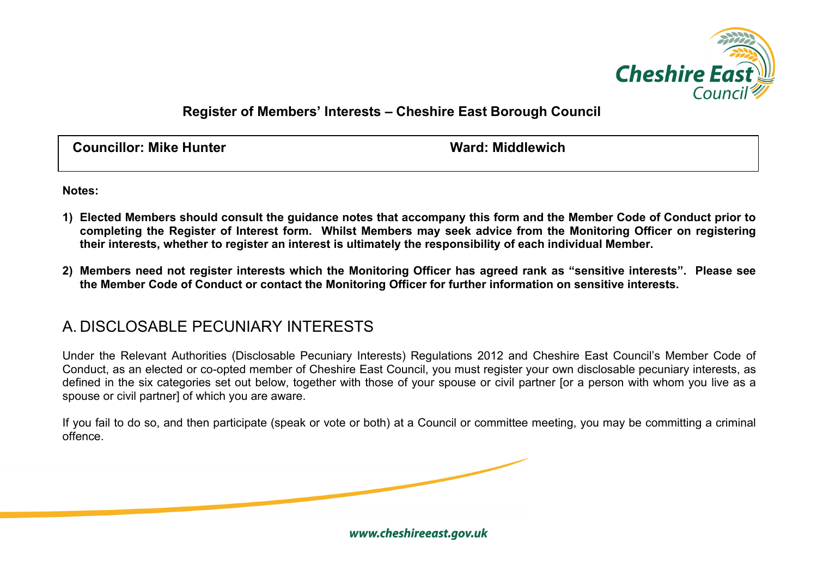

## **Register of Members' Interests – Cheshire East Borough Council**

**Councillor: Mike Hunter Ward: Middlewich**

**Notes:**

- **1) Elected Members should consult the guidance notes that accompany this form and the Member Code of Conduct prior to completing the Register of Interest form. Whilst Members may seek advice from the Monitoring Officer on registering their interests, whether to register an interest is ultimately the responsibility of each individual Member.**
- **2) Members need not register interests which the Monitoring Officer has agreed rank as "sensitive interests". Please see the Member Code of Conduct or contact the Monitoring Officer for further information on sensitive interests.**

## A. DISCLOSABLE PECUNIARY INTERESTS

Under the Relevant Authorities (Disclosable Pecuniary Interests) Regulations 2012 and Cheshire East Council's Member Code of Conduct, as an elected or co-opted member of Cheshire East Council, you must register your own disclosable pecuniary interests, as defined in the six categories set out below, together with those of your spouse or civil partner [or a person with whom you live as a spouse or civil partner] of which you are aware.

If you fail to do so, and then participate (speak or vote or both) at a Council or committee meeting, you may be committing a criminal offence.

www.cheshireeast.gov.uk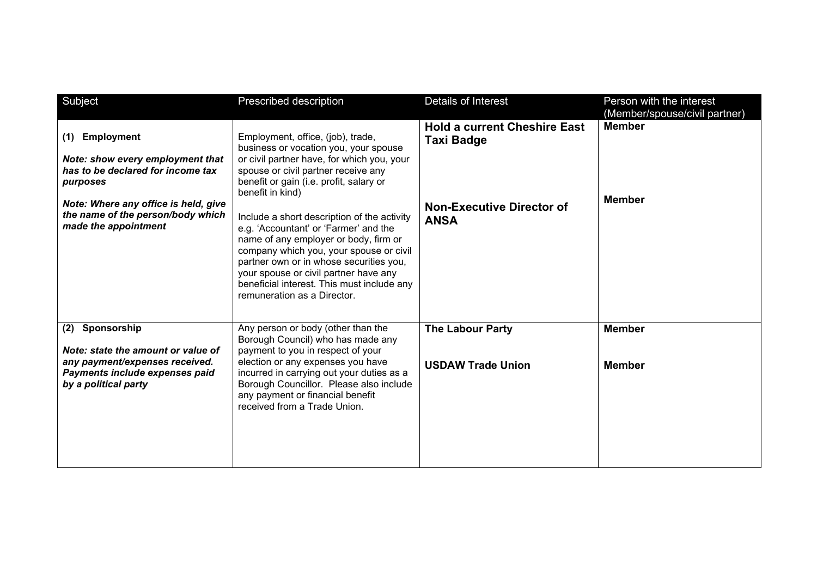| Subject                                                                                                                                                                                                            | Prescribed description                                                                                                                                                                                                                                                                                                                                                                                                                                                                                                                                                      | Details of Interest                                                                                         | Person with the interest<br>(Member/spouse/civil partner) |
|--------------------------------------------------------------------------------------------------------------------------------------------------------------------------------------------------------------------|-----------------------------------------------------------------------------------------------------------------------------------------------------------------------------------------------------------------------------------------------------------------------------------------------------------------------------------------------------------------------------------------------------------------------------------------------------------------------------------------------------------------------------------------------------------------------------|-------------------------------------------------------------------------------------------------------------|-----------------------------------------------------------|
| <b>Employment</b><br>(1)<br>Note: show every employment that<br>has to be declared for income tax<br>purposes<br>Note: Where any office is held, give<br>the name of the person/body which<br>made the appointment | Employment, office, (job), trade,<br>business or vocation you, your spouse<br>or civil partner have, for which you, your<br>spouse or civil partner receive any<br>benefit or gain (i.e. profit, salary or<br>benefit in kind)<br>Include a short description of the activity<br>e.g. 'Accountant' or 'Farmer' and the<br>name of any employer or body, firm or<br>company which you, your spouse or civil<br>partner own or in whose securities you,<br>your spouse or civil partner have any<br>beneficial interest. This must include any<br>remuneration as a Director. | <b>Hold a current Cheshire East</b><br><b>Taxi Badge</b><br><b>Non-Executive Director of</b><br><b>ANSA</b> | <b>Member</b><br><b>Member</b>                            |
| Sponsorship<br>(2)<br>Note: state the amount or value of<br>any payment/expenses received.<br>Payments include expenses paid<br>by a political party                                                               | Any person or body (other than the<br>Borough Council) who has made any<br>payment to you in respect of your<br>election or any expenses you have<br>incurred in carrying out your duties as a<br>Borough Councillor. Please also include<br>any payment or financial benefit<br>received from a Trade Union.                                                                                                                                                                                                                                                               | <b>The Labour Party</b><br><b>USDAW Trade Union</b>                                                         | <b>Member</b><br><b>Member</b>                            |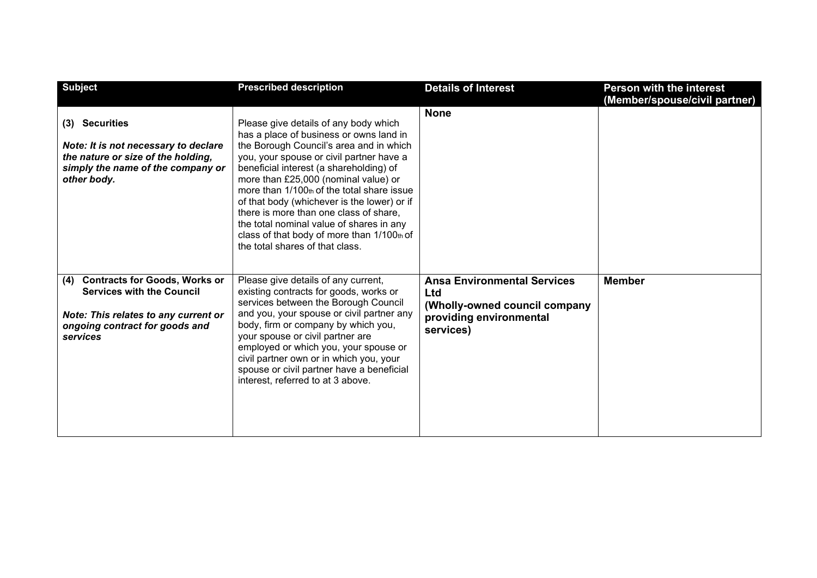| <b>Subject</b>                                                                                                                                                        | <b>Prescribed description</b>                                                                                                                                                                                                                                                                                                                                                                                                                                                                                                  | <b>Details of Interest</b>                                                                                         | <b>Person with the interest</b><br>(Member/spouse/civil partner) |
|-----------------------------------------------------------------------------------------------------------------------------------------------------------------------|--------------------------------------------------------------------------------------------------------------------------------------------------------------------------------------------------------------------------------------------------------------------------------------------------------------------------------------------------------------------------------------------------------------------------------------------------------------------------------------------------------------------------------|--------------------------------------------------------------------------------------------------------------------|------------------------------------------------------------------|
| (3) Securities<br>Note: It is not necessary to declare<br>the nature or size of the holding,<br>simply the name of the company or<br>other body.                      | Please give details of any body which<br>has a place of business or owns land in<br>the Borough Council's area and in which<br>you, your spouse or civil partner have a<br>beneficial interest (a shareholding) of<br>more than £25,000 (nominal value) or<br>more than 1/100th of the total share issue<br>of that body (whichever is the lower) or if<br>there is more than one class of share.<br>the total nominal value of shares in any<br>class of that body of more than 1/100th of<br>the total shares of that class. | <b>None</b>                                                                                                        |                                                                  |
| <b>Contracts for Goods, Works or</b><br>(4)<br><b>Services with the Council</b><br>Note: This relates to any current or<br>ongoing contract for goods and<br>services | Please give details of any current,<br>existing contracts for goods, works or<br>services between the Borough Council<br>and you, your spouse or civil partner any<br>body, firm or company by which you,<br>your spouse or civil partner are<br>employed or which you, your spouse or<br>civil partner own or in which you, your<br>spouse or civil partner have a beneficial<br>interest, referred to at 3 above.                                                                                                            | <b>Ansa Environmental Services</b><br>Ltd<br>(Wholly-owned council company<br>providing environmental<br>services) | <b>Member</b>                                                    |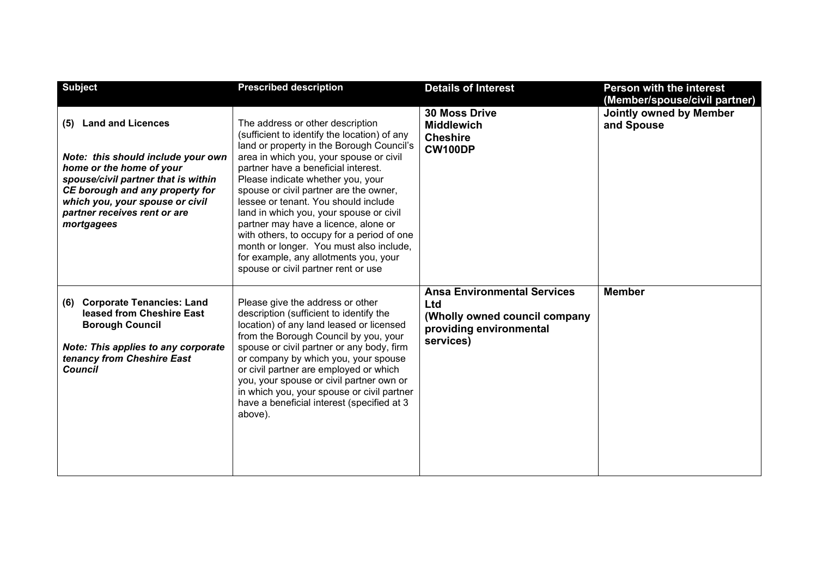| <b>Subject</b>                                                                                                                                                                                                                                               | <b>Prescribed description</b>                                                                                                                                                                                                                                                                                                                                                                                                                                                                                                                                                                      | <b>Details of Interest</b>                                                                                         | <b>Person with the interest</b><br>(Member/spouse/civil partner) |
|--------------------------------------------------------------------------------------------------------------------------------------------------------------------------------------------------------------------------------------------------------------|----------------------------------------------------------------------------------------------------------------------------------------------------------------------------------------------------------------------------------------------------------------------------------------------------------------------------------------------------------------------------------------------------------------------------------------------------------------------------------------------------------------------------------------------------------------------------------------------------|--------------------------------------------------------------------------------------------------------------------|------------------------------------------------------------------|
| <b>Land and Licences</b><br>(5)<br>Note: this should include your own<br>home or the home of your<br>spouse/civil partner that is within<br>CE borough and any property for<br>which you, your spouse or civil<br>partner receives rent or are<br>mortgagees | The address or other description<br>(sufficient to identify the location) of any<br>land or property in the Borough Council's<br>area in which you, your spouse or civil<br>partner have a beneficial interest.<br>Please indicate whether you, your<br>spouse or civil partner are the owner,<br>lessee or tenant. You should include<br>land in which you, your spouse or civil<br>partner may have a licence, alone or<br>with others, to occupy for a period of one<br>month or longer. You must also include,<br>for example, any allotments you, your<br>spouse or civil partner rent or use | <b>30 Moss Drive</b><br><b>Middlewich</b><br><b>Cheshire</b><br><b>CW100DP</b>                                     | Jointly owned by Member<br>and Spouse                            |
| <b>Corporate Tenancies: Land</b><br>(6)<br>leased from Cheshire East<br><b>Borough Council</b><br><b>Note: This applies to any corporate</b><br>tenancy from Cheshire East<br><b>Council</b>                                                                 | Please give the address or other<br>description (sufficient to identify the<br>location) of any land leased or licensed<br>from the Borough Council by you, your<br>spouse or civil partner or any body, firm<br>or company by which you, your spouse<br>or civil partner are employed or which<br>you, your spouse or civil partner own or<br>in which you, your spouse or civil partner<br>have a beneficial interest (specified at 3<br>above).                                                                                                                                                 | <b>Ansa Environmental Services</b><br>Ltd<br>(Wholly owned council company<br>providing environmental<br>services) | <b>Member</b>                                                    |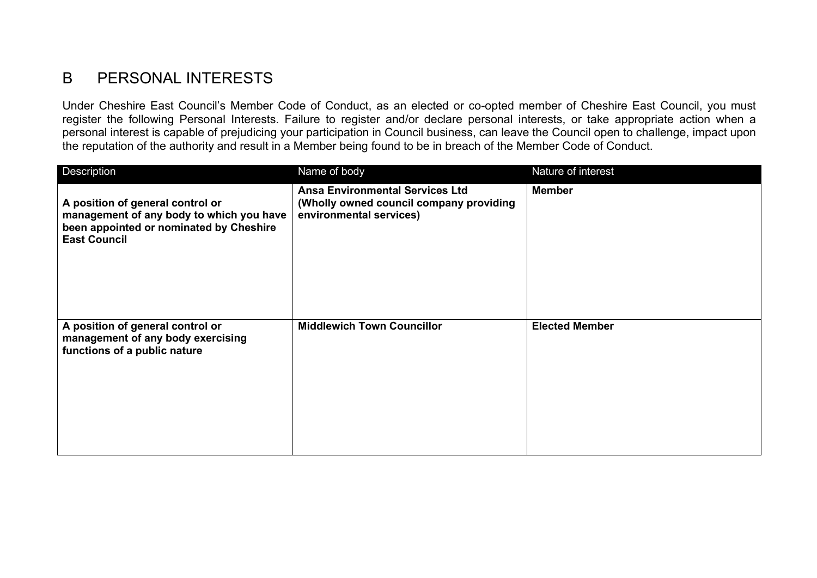## B PERSONAL INTERESTS

Under Cheshire East Council's Member Code of Conduct, as an elected or co-opted member of Cheshire East Council, you must register the following Personal Interests. Failure to register and/or declare personal interests, or take appropriate action when a personal interest is capable of prejudicing your participation in Council business, can leave the Council open to challenge, impact upon the reputation of the authority and result in a Member being found to be in breach of the Member Code of Conduct.

| Description                                                                                                                                    | Name of body                                                                                                 | Nature of interest    |
|------------------------------------------------------------------------------------------------------------------------------------------------|--------------------------------------------------------------------------------------------------------------|-----------------------|
| A position of general control or<br>management of any body to which you have<br>been appointed or nominated by Cheshire<br><b>East Council</b> | <b>Ansa Environmental Services Ltd</b><br>(Wholly owned council company providing<br>environmental services) | <b>Member</b>         |
| A position of general control or<br>management of any body exercising<br>functions of a public nature                                          | <b>Middlewich Town Councillor</b>                                                                            | <b>Elected Member</b> |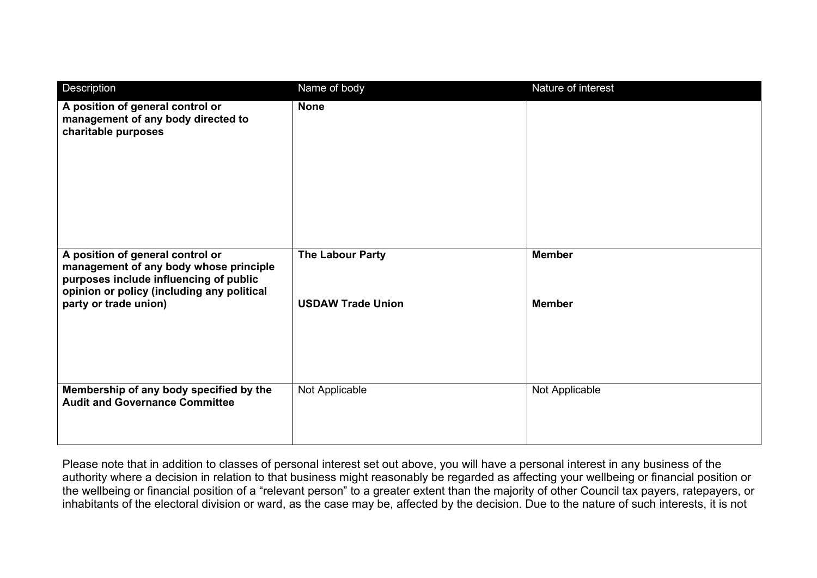| Description                                                                                                                                                                                 | Name of body                                        | Nature of interest             |
|---------------------------------------------------------------------------------------------------------------------------------------------------------------------------------------------|-----------------------------------------------------|--------------------------------|
| A position of general control or<br>management of any body directed to<br>charitable purposes                                                                                               | <b>None</b>                                         |                                |
| A position of general control or<br>management of any body whose principle<br>purposes include influencing of public<br>opinion or policy (including any political<br>party or trade union) | <b>The Labour Party</b><br><b>USDAW Trade Union</b> | <b>Member</b><br><b>Member</b> |
| Membership of any body specified by the<br><b>Audit and Governance Committee</b>                                                                                                            | Not Applicable                                      | Not Applicable                 |

Please note that in addition to classes of personal interest set out above, you will have a personal interest in any business of the authority where a decision in relation to that business might reasonably be regarded as affecting your wellbeing or financial position or the wellbeing or financial position of a "relevant person" to a greater extent than the majority of other Council tax payers, ratepayers, or inhabitants of the electoral division or ward, as the case may be, affected by the decision. Due to the nature of such interests, it is not